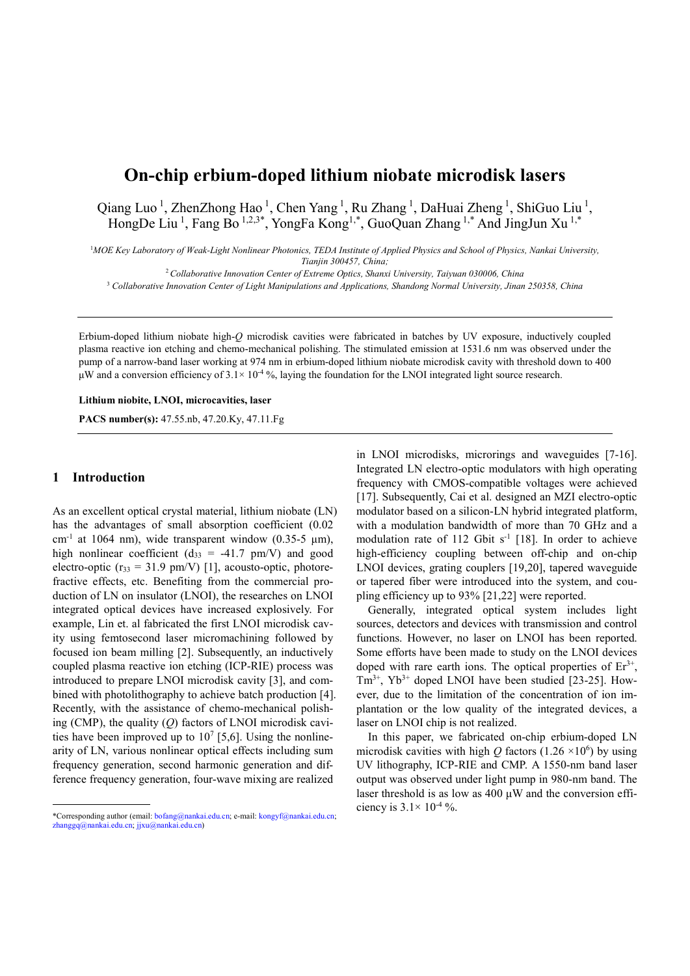# On-chip erbium-doped lithium niobate microdisk lasers

Qiang Luo<sup>1</sup>, ZhenZhong Hao<sup>1</sup>, Chen Yang<sup>1</sup>, Ru Zhang<sup>1</sup>, DaHuai Zheng<sup>1</sup>, ShiGuo Liu<sup>1</sup>, HongDe Liu<sup>1</sup>, Fang Bo<sup>1,2,3\*</sup>, YongFa Kong<sup>1,\*</sup>, GuoQuan Zhang<sup>1,\*</sup> And JingJun Xu<sup>1,\*</sup>

<sup>1</sup>MOE Key Laboratory of Weak-Light Nonlinear Photonics, TEDA Institute of Applied Physics and School of Physics, Nankai University, Tianjin 300457, China;

 $2$  Collaborative Innovation Center of Extreme Optics, Shanxi University, Taiyuan 030006, China

<sup>3</sup> Collaborative Innovation Center of Light Manipulations and Applications, Shandong Normal University, Jinan 250358, China

Erbium-doped lithium niobate high-Q microdisk cavities were fabricated in batches by UV exposure, inductively coupled plasma reactive ion etching and chemo-mechanical polishing. The stimulated emission at 1531.6 nm was observed under the pump of a narrow-band laser working at 974 nm in erbium-doped lithium niobate microdisk cavity with threshold down to 400 μW and a conversion efficiency of  $3.1 \times 10^{-4}$ %, laying the foundation for the LNOI integrated light source research.

Lithium niobite, LNOI, microcavities, laser

PACS number(s): 47.55.nb, 47.20.Ky, 47.11.Fg

## 1 Introduction

 $\overline{a}$ 

As an excellent optical crystal material, lithium niobate (LN) has the advantages of small absorption coefficient (0.02 cm<sup>-1</sup> at 1064 nm), wide transparent window (0.35-5  $\mu$ m), high nonlinear coefficient ( $d_{33} = -41.7$  pm/V) and good electro-optic ( $r_{33} = 31.9$  pm/V) [1], acousto-optic, photorefractive effects, etc. Benefiting from the commercial production of LN on insulator (LNOI), the researches on LNOI integrated optical devices have increased explosively. For example, Lin et. al fabricated the first LNOI microdisk cavity using femtosecond laser micromachining followed by focused ion beam milling [2]. Subsequently, an inductively coupled plasma reactive ion etching (ICP-RIE) process was introduced to prepare LNOI microdisk cavity [3], and combined with photolithography to achieve batch production [4]. Recently, with the assistance of chemo-mechanical polishing (CMP), the quality  $(Q)$  factors of LNOI microdisk cavities have been improved up to  $10^7$  [5,6]. Using the nonlinearity of LN, various nonlinear optical effects including sum frequency generation, second harmonic generation and difference frequency generation, four-wave mixing are realized

in LNOI microdisks, microrings and waveguides [7-16]. Integrated LN electro-optic modulators with high operating frequency with CMOS-compatible voltages were achieved [17]. Subsequently, Cai et al. designed an MZI electro-optic modulator based on a silicon-LN hybrid integrated platform, with a modulation bandwidth of more than 70 GHz and a modulation rate of 112 Gbit  $s^{-1}$  [18]. In order to achieve high-efficiency coupling between off-chip and on-chip LNOI devices, grating couplers [19,20], tapered waveguide or tapered fiber were introduced into the system, and coupling efficiency up to 93% [21,22] were reported.

Generally, integrated optical system includes light sources, detectors and devices with transmission and control functions. However, no laser on LNOI has been reported. Some efforts have been made to study on the LNOI devices doped with rare earth ions. The optical properties of  $Er<sup>3+</sup>$ ,  $Tm^{3+}$ ,  $Yb^{3+}$  doped LNOI have been studied [23-25]. However, due to the limitation of the concentration of ion implantation or the low quality of the integrated devices, a laser on LNOI chip is not realized.

In this paper, we fabricated on-chip erbium-doped LN microdisk cavities with high Q factors (1.26  $\times$ 10<sup>6</sup>) by using UV lithography, ICP-RIE and CMP. A 1550-nm band laser output was observed under light pump in 980-nm band. The laser threshold is as low as  $400 \mu W$  and the conversion efficiency is  $3.1 \times 10^{-4}$ %.

<sup>\*</sup>Corresponding author (email: bofang@nankai.edu.cn; e-mail: kongyf@nankai.edu.cn; zhanggq@nankai.edu.cn; jjxu@nankai.edu.cn)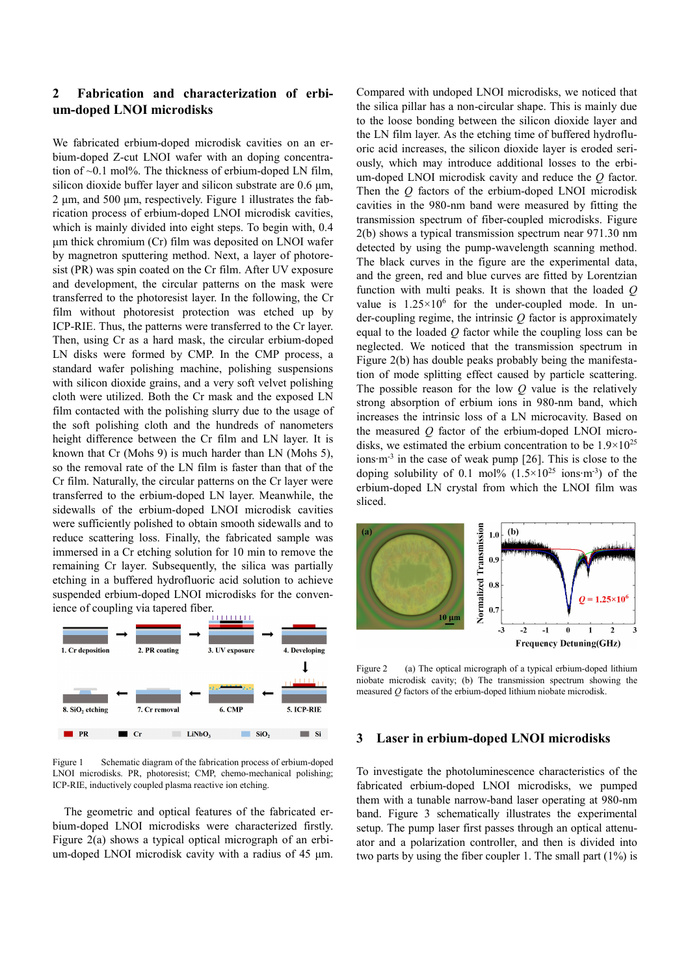## 2 Fabrication and characterization of erbium-doped LNOI microdisks

We fabricated erbium-doped microdisk cavities on an erbium-doped Z-cut LNOI wafer with an doping concentration of  $\sim$ 0.1 mol%. The thickness of erbium-doped LN film, silicon dioxide buffer layer and silicon substrate are 0.6 μm, 2 μm, and 500 μm, respectively. Figure 1 illustrates the fabrication process of erbium-doped LNOI microdisk cavities, which is mainly divided into eight steps. To begin with, 0.4 μm thick chromium (Cr) film was deposited on LNOI wafer by magnetron sputtering method. Next, a layer of photoresist (PR) was spin coated on the Cr film. After UV exposure and development, the circular patterns on the mask were transferred to the photoresist layer. In the following, the Cr film without photoresist protection was etched up by ICP-RIE. Thus, the patterns were transferred to the Cr layer. Then, using Cr as a hard mask, the circular erbium-doped LN disks were formed by CMP. In the CMP process, a standard wafer polishing machine, polishing suspensions with silicon dioxide grains, and a very soft velvet polishing cloth were utilized. Both the Cr mask and the exposed LN film contacted with the polishing slurry due to the usage of the soft polishing cloth and the hundreds of nanometers height difference between the Cr film and LN layer. It is known that Cr (Mohs 9) is much harder than LN (Mohs 5), so the removal rate of the LN film is faster than that of the Cr film. Naturally, the circular patterns on the Cr layer were transferred to the erbium-doped LN layer. Meanwhile, the sidewalls of the erbium-doped LNOI microdisk cavities were sufficiently polished to obtain smooth sidewalls and to reduce scattering loss. Finally, the fabricated sample was immersed in a Cr etching solution for 10 min to remove the remaining Cr layer. Subsequently, the silica was partially etching in a buffered hydrofluoric acid solution to achieve suspended erbium-doped LNOI microdisks for the convenience of coupling via tapered fiber.



Figure 1 Schematic diagram of the fabrication process of erbium-doped LNOI microdisks. PR, photoresist; CMP, chemo-mechanical polishing; ICP-RIE, inductively coupled plasma reactive ion etching.

 The geometric and optical features of the fabricated erbium-doped LNOI microdisks were characterized firstly. Figure 2(a) shows a typical optical micrograph of an erbium-doped LNOI microdisk cavity with a radius of 45 μm. Compared with undoped LNOI microdisks, we noticed that the silica pillar has a non-circular shape. This is mainly due to the loose bonding between the silicon dioxide layer and the LN film layer. As the etching time of buffered hydrofluoric acid increases, the silicon dioxide layer is eroded seriously, which may introduce additional losses to the erbium-doped LNOI microdisk cavity and reduce the  $Q$  factor. Then the  $Q$  factors of the erbium-doped LNOI microdisk cavities in the 980-nm band were measured by fitting the transmission spectrum of fiber-coupled microdisks. Figure 2(b) shows a typical transmission spectrum near 971.30 nm detected by using the pump-wavelength scanning method. The black curves in the figure are the experimental data, and the green, red and blue curves are fitted by Lorentzian function with multi peaks. It is shown that the loaded  $Q$ value is  $1.25 \times 10^6$  for the under-coupled mode. In under-coupling regime, the intrinsic  $Q$  factor is approximately equal to the loaded  $Q$  factor while the coupling loss can be neglected. We noticed that the transmission spectrum in Figure 2(b) has double peaks probably being the manifestation of mode splitting effect caused by particle scattering. The possible reason for the low  $Q$  value is the relatively strong absorption of erbium ions in 980-nm band, which increases the intrinsic loss of a LN microcavity. Based on the measured  $O$  factor of the erbium-doped LNOI microdisks, we estimated the erbium concentration to be  $1.9 \times 10^{25}$ ions∙m-3 in the case of weak pump [26]. This is close to the doping solubility of 0.1 mol%  $(1.5\times10^{25} \text{ ions} \cdot \text{m}^{-3})$  of the erbium-doped LN crystal from which the LNOI film was sliced.



Figure 2 (a) The optical micrograph of a typical erbium-doped lithium niobate microdisk cavity; (b) The transmission spectrum showing the measured  $Q$  factors of the erbium-doped lithium niobate microdisk.

## 3 Laser in erbium-doped LNOI microdisks

To investigate the photoluminescence characteristics of the fabricated erbium-doped LNOI microdisks, we pumped them with a tunable narrow-band laser operating at 980-nm band. Figure 3 schematically illustrates the experimental setup. The pump laser first passes through an optical attenuator and a polarization controller, and then is divided into two parts by using the fiber coupler 1. The small part (1%) is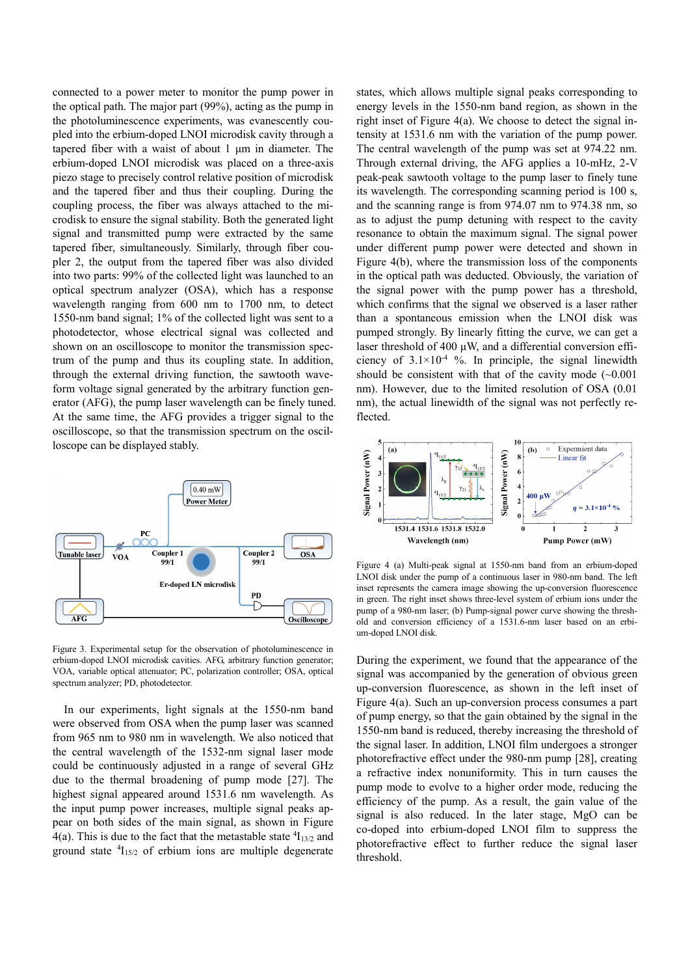connected to a power meter to monitor the pump power in the optical path. The major part (99%), acting as the pump in the photoluminescence experiments, was evanescently coupled into the erbium-doped LNOI microdisk cavity through a tapered fiber with a waist of about 1 μm in diameter. The erbium-doped LNOI microdisk was placed on a three-axis piezo stage to precisely control relative position of microdisk and the tapered fiber and thus their coupling. During the coupling process, the fiber was always attached to the microdisk to ensure the signal stability. Both the generated light signal and transmitted pump were extracted by the same tapered fiber, simultaneously. Similarly, through fiber coupler 2, the output from the tapered fiber was also divided into two parts: 99% of the collected light was launched to an optical spectrum analyzer (OSA), which has a response wavelength ranging from 600 nm to 1700 nm, to detect 1550-nm band signal; 1% of the collected light was sent to a photodetector, whose electrical signal was collected and shown on an oscilloscope to monitor the transmission spectrum of the pump and thus its coupling state. In addition, through the external driving function, the sawtooth waveform voltage signal generated by the arbitrary function generator (AFG), the pump laser wavelength can be finely tuned. At the same time, the AFG provides a trigger signal to the oscilloscope, so that the transmission spectrum on the oscilloscope can be displayed stably.



Figure 3. Experimental setup for the observation of photoluminescence in erbium-doped LNOI microdisk cavities. AFG, arbitrary function generator; VOA, variable optical attenuator; PC, polarization controller; OSA, optical spectrum analyzer; PD, photodetector.

 In our experiments, light signals at the 1550-nm band were observed from OSA when the pump laser was scanned from 965 nm to 980 nm in wavelength. We also noticed that the central wavelength of the 1532-nm signal laser mode could be continuously adjusted in a range of several GHz due to the thermal broadening of pump mode [27]. The highest signal appeared around 1531.6 nm wavelength. As the input pump power increases, multiple signal peaks appear on both sides of the main signal, as shown in Figure  $4(a)$ . This is due to the fact that the metastable state  ${}^{4}I_{13/2}$  and ground state  ${}^{4}I_{15/2}$  of erbium ions are multiple degenerate states, which allows multiple signal peaks corresponding to energy levels in the 1550-nm band region, as shown in the right inset of Figure 4(a). We choose to detect the signal intensity at 1531.6 nm with the variation of the pump power. The central wavelength of the pump was set at 974.22 nm. Through external driving, the AFG applies a 10-mHz, 2-V peak-peak sawtooth voltage to the pump laser to finely tune its wavelength. The corresponding scanning period is 100 s, and the scanning range is from 974.07 nm to 974.38 nm, so as to adjust the pump detuning with respect to the cavity resonance to obtain the maximum signal. The signal power under different pump power were detected and shown in Figure 4(b), where the transmission loss of the components in the optical path was deducted. Obviously, the variation of the signal power with the pump power has a threshold, which confirms that the signal we observed is a laser rather than a spontaneous emission when the LNOI disk was pumped strongly. By linearly fitting the curve, we can get a laser threshold of 400 μW, and a differential conversion efficiency of  $3.1 \times 10^{-4}$  %. In principle, the signal linewidth should be consistent with that of the cavity mode  $(-0.001)$ nm). However, due to the limited resolution of OSA (0.01 nm), the actual linewidth of the signal was not perfectly reflected.



Figure 4 (a) Multi-peak signal at 1550-nm band from an erbium-doped LNOI disk under the pump of a continuous laser in 980-nm band. The left inset represents the camera image showing the up-conversion fluorescence in green. The right inset shows three-level system of erbium ions under the pump of a 980-nm laser; (b) Pump-signal power curve showing the threshold and conversion efficiency of a 1531.6-nm laser based on an erbium-doped LNOI disk.

During the experiment, we found that the appearance of the signal was accompanied by the generation of obvious green up-conversion fluorescence, as shown in the left inset of Figure 4(a). Such an up-conversion process consumes a part of pump energy, so that the gain obtained by the signal in the 1550-nm band is reduced, thereby increasing the threshold of the signal laser. In addition, LNOI film undergoes a stronger photorefractive effect under the 980-nm pump [28], creating a refractive index nonuniformity. This in turn causes the pump mode to evolve to a higher order mode, reducing the efficiency of the pump. As a result, the gain value of the signal is also reduced. In the later stage, MgO can be co-doped into erbium-doped LNOI film to suppress the photorefractive effect to further reduce the signal laser threshold.